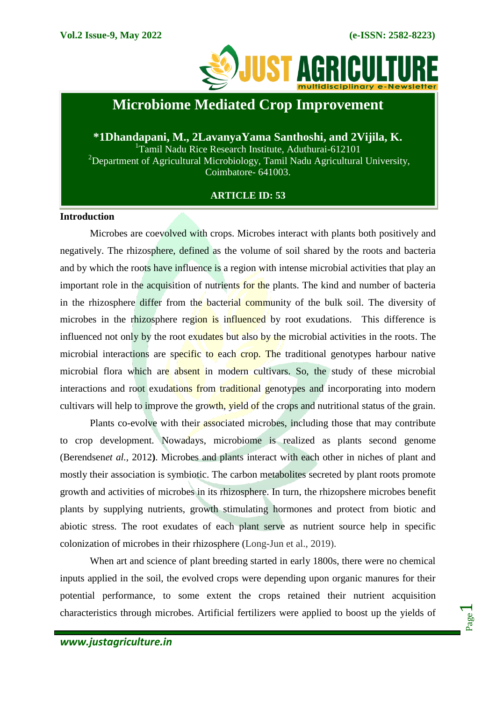

## **Microbiome Mediated Crop Improvement**

**\*1Dhandapani, M., 2LavanyaYama Santhoshi, and 2Vijila, K.** <sup>1</sup>Tamil Nadu Rice Research Institute, Aduthurai-612101 <sup>2</sup>Department of Agricultural Microbiology, Tamil Nadu Agricultural University, Coimbatore- 641003.

## **ARTICLE ID: 53**

#### **Introduction**

Microbes are coevolved with crops. Microbes interact with plants both positively and negatively. The rhizosphere, defined as the volume of soil shared by the roots and bacteria and by which the roots have influence is a region with intense microbial activities that play an important role in the acquisition of nutrients for the plants. The kind and number of bacteria in the rhizosphere differ from the bacterial community of the bulk soil. The diversity of microbes in the rhizosphere region is influenced by root exudations. This difference is influenced not only by the root exudates but also by the microbial activities in the roots. The microbial interactions are specific to each crop. The traditional genotypes harbour native microbial flora which are absent in modern cultivars. So, the study of these microbial interactions and root exudations from traditional genotypes and incorporating into modern cultivars will help to improve the growth, yield of the crops and nutritional status of the grain.

Plants co-evolve with their associated microbes, including those that may contribute to crop development. Nowadays, microbiome is realized as plants second genome (Berendsen*et al.,* 2012**)**. Microbes and plants interact with each other in niches of plant and mostly their association is symbiotic. The carbon metabolites secreted by plant roots promote growth and activities of microbes in its rhizosphere. In turn, the rhizopshere microbes benefit plants by supplying nutrients, growth stimulating hormones and protect from biotic and abiotic stress. The root exudates of each plant serve as nutrient source help in specific colonization of microbes in their rhizosphere (Long-Jun et al., 2019).

When art and science of plant breeding started in early 1800s, there were no chemical inputs applied in the soil, the evolved crops were depending upon organic manures for their potential performance, to some extent the crops retained their nutrient acquisition characteristics through microbes. Artificial fertilizers were applied to boost up the yields of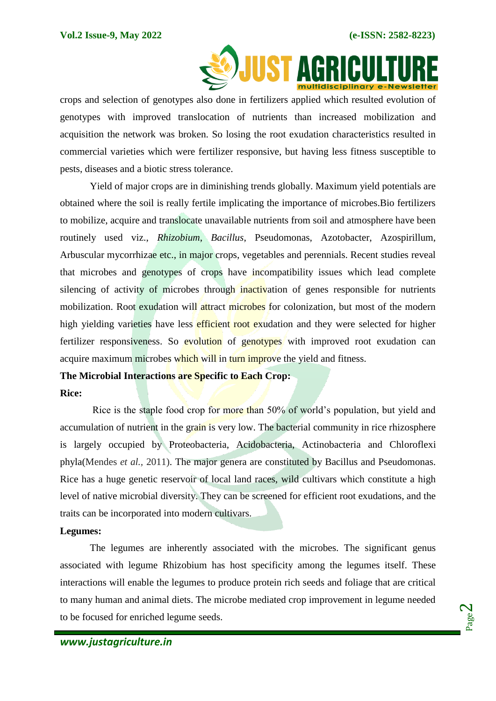

crops and selection of genotypes also done in fertilizers applied which resulted evolution of genotypes with improved translocation of nutrients than increased mobilization and acquisition the network was broken. So losing the root exudation characteristics resulted in commercial varieties which were fertilizer responsive, but having less fitness susceptible to pests, diseases and a biotic stress tolerance.

Yield of major crops are in diminishing trends globally. Maximum yield potentials are obtained where the soil is really fertile implicating the importance of microbes.Bio fertilizers to mobilize, acquire and translocate unavailable nutrients from soil and atmosphere have been routinely used viz., *Rhizobium*, *Bacillus*, Pseudomonas, Azotobacter, Azospirillum, Arbuscular mycorrhizae etc., in major crops, vegetables and perennials. Recent studies reveal that microbes and genotypes of crops have incompatibility issues which lead complete silencing of activity of microbes through inactivation of genes responsible for nutrients mobilization. Root exudation will attract microbes for colonization, but most of the modern high yielding varieties have less efficient root exudation and they were selected for higher fertilizer responsiveness. So evolution of genotypes with improved root exudation can acquire maximum microbes which will in turn improve the yield and fitness.

#### **The Microbial Interactions are Specific to Each Crop:**

#### **Rice:**

Rice is the staple food crop for more than 50% of world's population, but yield and accumulation of nutrient in the grain is very low. The bacterial community in rice rhizosphere is largely occupied by Proteobacteria, Acidobacteria, Actinobacteria and Chloroflexi phyla(Mendes *et al.,* 2011). The major genera are constituted by Bacillus and Pseudomonas. Rice has a huge genetic reservoir of local land races, wild cultivars which constitute a high level of native microbial diversity. They can be screened for efficient root exudations, and the traits can be incorporated into modern cultivars.

#### **Legumes:**

The legumes are inherently associated with the microbes. The significant genus associated with legume Rhizobium has host specificity among the legumes itself. These interactions will enable the legumes to produce protein rich seeds and foliage that are critical to many human and animal diets. The microbe mediated crop improvement in legume needed to be focused for enriched legume seeds.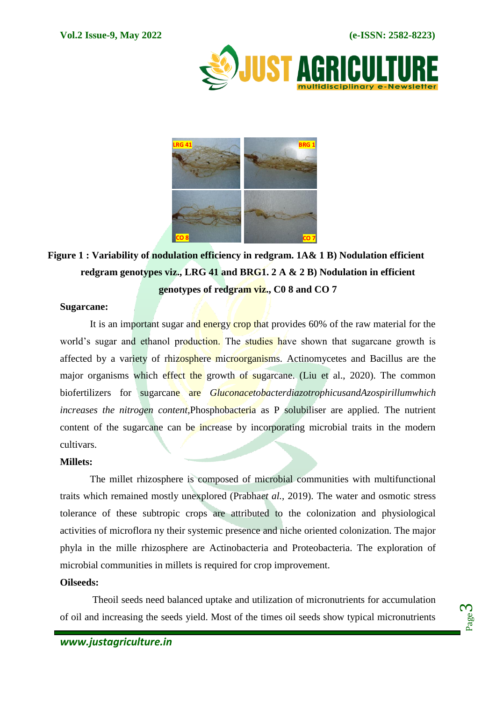



# **Figure 1 : Variability of nodulation efficiency in redgram. 1A& 1 B) Nodulation efficient redgram genotypes viz., LRG 41 and BRG1. 2 A & 2 B) Nodulation in efficient**

**genotypes of redgram viz., C0 8 and CO 7**

## **Sugarcane:**

It is an important sugar and energy crop that provides 60% of the raw material for the world's sugar and ethanol production. The studies have shown that sugarcane growth is affected by a variety of rhizosphere microorganisms. Actinomycetes and Bacillus are the major organisms which effect the growth of sugarcane. (Liu et al., 2020). The common biofertilizers for sugarcane are *GluconacetobacterdiazotrophicusandAzospirillumwhich increases the nitrogen content,*Phosphobacteria as P solubiliser are applied. The nutrient content of the sugarcane can be increase by incorporating microbial traits in the modern cultivars.

## **Millets:**

The millet rhizosphere is composed of microbial communities with multifunctional traits which remained mostly unexplored (Prabha*et al.,* 2019). The water and osmotic stress tolerance of these subtropic crops are attributed to the colonization and physiological activities of microflora ny their systemic presence and niche oriented colonization. The major phyla in the mille rhizosphere are Actinobacteria and Proteobacteria. The exploration of microbial communities in millets is required for crop improvement.

#### **Oilseeds:**

Theoil seeds need balanced uptake and utilization of micronutrients for accumulation of oil and increasing the seeds yield. Most of the times oil seeds show typical micronutrients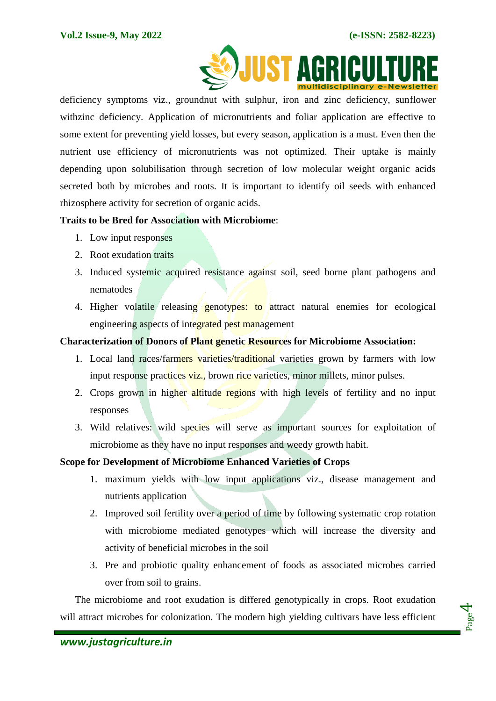

deficiency symptoms viz., groundnut with sulphur, iron and zinc deficiency, sunflower withzinc deficiency. Application of micronutrients and foliar application are effective to some extent for preventing yield losses, but every season, application is a must. Even then the nutrient use efficiency of micronutrients was not optimized. Their uptake is mainly depending upon solubilisation through secretion of low molecular weight organic acids secreted both by microbes and roots. It is important to identify oil seeds with enhanced rhizosphere activity for secretion of organic acids.

## **Traits to be Bred for Association with Microbiome**:

- 1. Low input responses
- 2. Root exudation traits
- 3. Induced systemic acquired resistance against soil, seed borne plant pathogens and nematodes
- 4. Higher volatile releasing genotypes: to attract natural enemies for ecological engineering aspects of integrated pest management

## **Characterization of Donors of Plant genetic Resources for Microbiome Association:**

- 1. Local land races/farmers varieties/traditional varieties grown by farmers with low input response practices viz., brown rice varieties, minor millets, minor pulses.
- 2. Crops grown in higher altitude regions with high levels of fertility and no input responses
- 3. Wild relatives: wild species will serve as important sources for exploitation of microbiome as they have no input responses and weedy growth habit.

## **Scope for Development of Microbiome Enhanced Varieties of Crops**

- 1. maximum yields with low input applications viz., disease management and nutrients application
- 2. Improved soil fertility over a period of time by following systematic crop rotation with microbiome mediated genotypes which will increase the diversity and activity of beneficial microbes in the soil
- 3. Pre and probiotic quality enhancement of foods as associated microbes carried over from soil to grains.

The microbiome and root exudation is differed genotypically in crops. Root exudation will attract microbes for colonization. The modern high yielding cultivars have less efficient